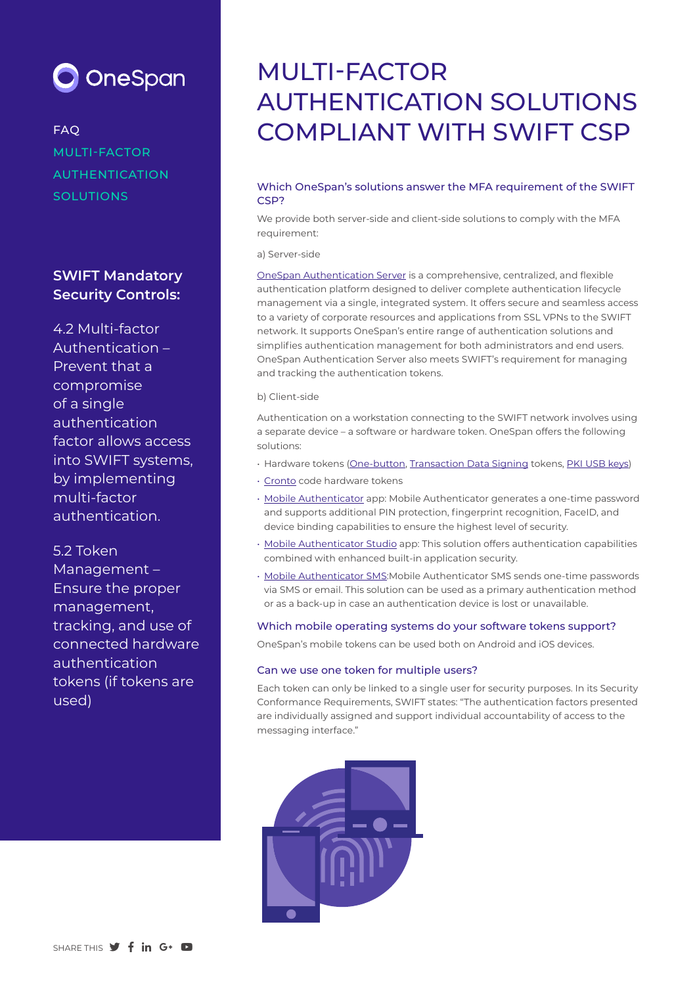

FAQ MULTI-FACTOR AUTHENTICATION **SOLUTIONS** 

# **SWIFT Mandatory Security Controls:**

4.2 Multi-factor Authentication – Prevent that a compromise of a single authentication factor allows access into SWIFT systems, by implementing multi-factor authentication.

# 5.2 Token

Management – Ensure the proper management, tracking, and use of connected hardware authentication tokens (if tokens are used)

# MULTI-FACTOR AUTHENTICATION SOLUTIONS COMPLIANT WITH SWIFT CSP

# Which OneSpan's solutions answer the MFA requirement of the SWIFT CS<sub>P?</sub>

We provide both server-side and client-side solutions to comply with the MFA requirement:

a) Server-side

OneSpan Authentication Server is a comprehensive, centralized, and flexible authentication platform designed to deliver complete authentication lifecycle management via a single, integrated system. It offers secure and seamless access to a variety of corporate resources and applications from SSL VPNs to the SWIFT network. It supports OneSpan's entire range of authentication solutions and simplifies authentication management for both administrators and end users. OneSpan Authentication Server also meets SWIFT's requirement for managing and tracking the authentication tokens.

#### b) Client-side

Authentication on a workstation connecting to the SWIFT network involves using a separate device – a software or hardware token. OneSpan offers the following solutions:

- Hardware tokens (One-button, Transaction Data Signing tokens, PKI USB keys)
- Cronto code hardware tokens
- Mobile Authenticator app: Mobile Authenticator generates a one-time password and supports additional PIN protection, fingerprint recognition, FaceID, and device binding capabilities to ensure the highest level of security.
- Mobile Authenticator Studio app: This solution offers authentication capabilities combined with enhanced built-in application security.
- Mobile Authenticator SMS:Mobile Authenticator SMS sends one-time passwords via SMS or email. This solution can be used as a primary authentication method or as a back-up in case an authentication device is lost or unavailable.

#### Which mobile operating systems do your software tokens support?

OneSpan's mobile tokens can be used both on Android and iOS devices.

#### Can we use one token for multiple users?

Each token can only be linked to a single user for security purposes. In its Security Conformance Requirements, SWIFT states: "The authentication factors presented are individually assigned and support individual accountability of access to the messaging interface."